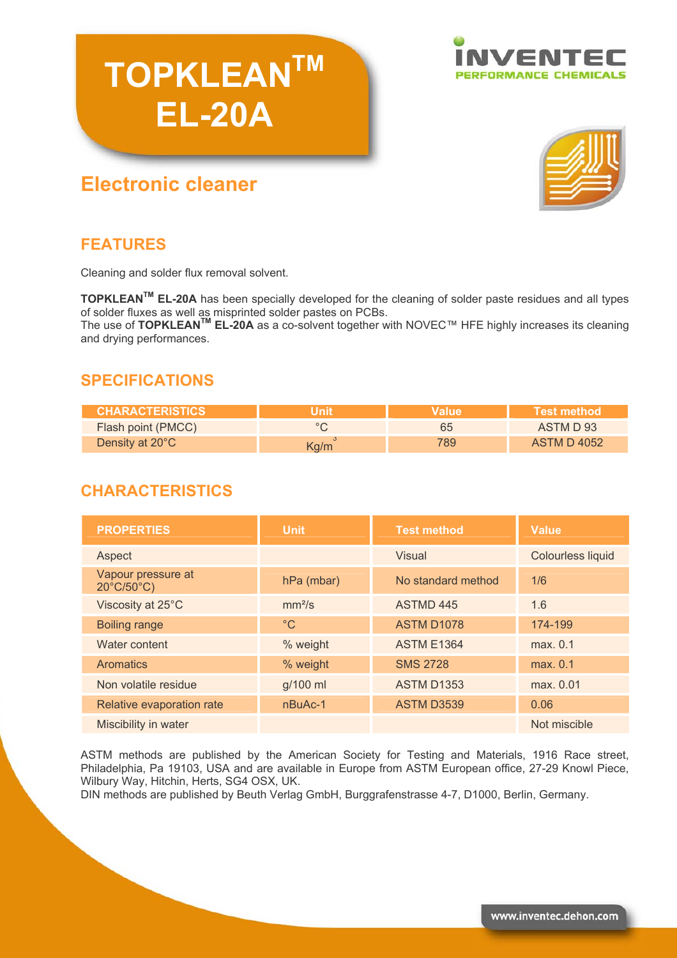# **TOPKLEANTM EL-20A**





## **Electronic cleaner**

## **FEATURES**

Cleaning and solder flux removal solvent.

**TOPKLEANTM EL-20A** has been specially developed for the cleaning of solder paste residues and all types of solder fluxes as well as misprinted solder pastes on PCBs.

The use of **TOPKLEANTM EL-20A** as a co-solvent together with NOVEC™ HFE highly increases its cleaning and drying performances.

## **SPECIFICATIONS**

| <b>ICHARACTERISTICS !</b> | Value | <b>Test method</b> |
|---------------------------|-------|--------------------|
| <b>Flash point (PMCC)</b> | 65    | ASTM D 93          |
| Density at 20°C           | 789   | <b>ASTM D 4052</b> |

## **CHARACTERISTICS**

| <b>PROPERTIES</b>                                     | Unit               | <b>Test method</b> | <b>Value</b>             |
|-------------------------------------------------------|--------------------|--------------------|--------------------------|
| Aspect                                                |                    | <b>Visual</b>      | <b>Colourless liquid</b> |
| Vapour pressure at<br>$20^{\circ}$ C/50 $^{\circ}$ C) | $hPa$ (mbar)       | No standard method | 1/6                      |
| Viscosity at 25°C                                     | mm <sup>2</sup> /s | <b>ASTMD 445</b>   | 1.6                      |
| <b>Boiling range</b>                                  | $^{\circ}C$        | <b>ASTM D1078</b>  | 174-199                  |
| Water content                                         | % weight           | <b>ASTM E1364</b>  | max. 0.1                 |
| <b>Aromatics</b>                                      | % weight           | <b>SMS 2728</b>    | max. 0.1                 |
| Non volatile residue                                  | g/100 ml           | <b>ASTM D1353</b>  | max. 0.01                |
| Relative evaporation rate                             | nBuAc-1            | <b>ASTM D3539</b>  | 0.06                     |
| Miscibility in water                                  |                    |                    | Not miscible             |

ASTM methods are published by the American Society for Testing and Materials, 1916 Race street, Philadelphia, Pa 19103, USA and are available in Europe from ASTM European office, 27-29 Knowl Piece, Wilbury Way, Hitchin, Herts, SG4 OSX, UK.

DIN methods are published by Beuth Verlag GmbH, Burggrafenstrasse 4-7, D1000, Berlin, Germany.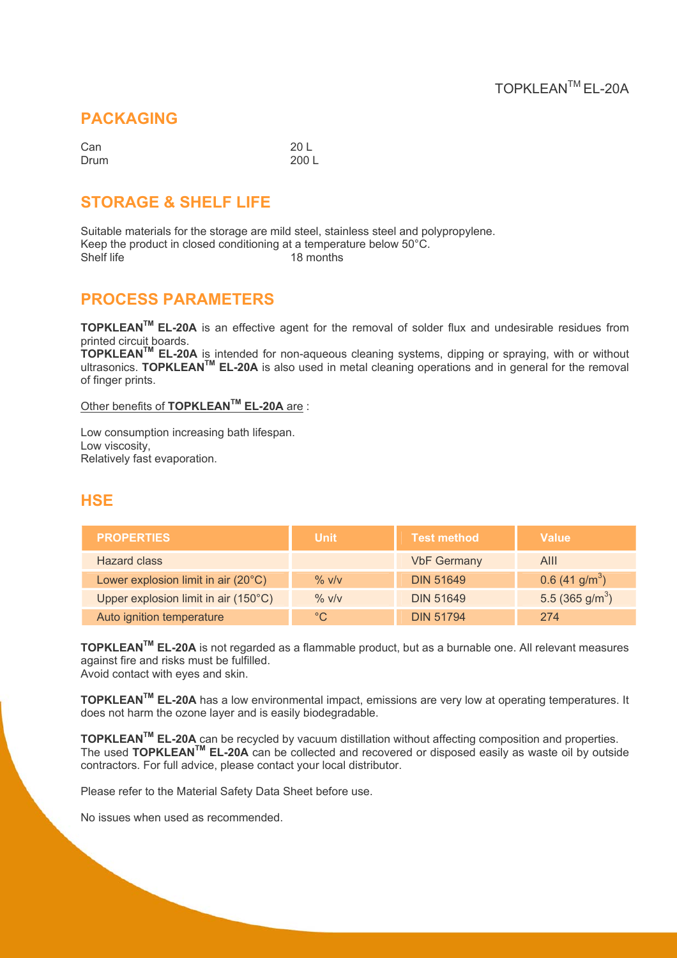#### **PACKAGING**

| Can  | 20 L  |
|------|-------|
| Drum | 200 L |

## **STORAGE & SHELF LIFE**

Suitable materials for the storage are mild steel, stainless steel and polypropylene. Keep the product in closed conditioning at a temperature below  $50^{\circ}$ C.<br>Shelf life 18 months 18 months

#### **PROCESS PARAMETERS**

**TOPKLEANTM EL-20A** is an effective agent for the removal of solder flux and undesirable residues from printed circuit boards.

**TOPKLEANTM EL-20A** is intended for non-aqueous cleaning systems, dipping or spraying, with or without ultrasonics. **TOPKLEANTM EL-20A** is also used in metal cleaning operations and in general for the removal of finger prints.

#### Other benefits of **TOPKLEANTM EL-20A** are :

Low consumption increasing bath lifespan. Low viscosity, Relatively fast evaporation.

#### **HSE**

| <b>PROPERTIES</b>                    | <b>Unit</b> | <b>Test method</b> | <b>Value</b>                 |
|--------------------------------------|-------------|--------------------|------------------------------|
| Hazard class                         |             | <b>VbF Germany</b> | AIII                         |
| Lower explosion limit in air (20°C)  | $\%$ V/V    | <b>DIN 51649</b>   | $0.6$ (41 g/m <sup>3</sup> ) |
| Upper explosion limit in air (150°C) | $\%$ V/V    | <b>DIN 51649</b>   | 5.5 (365 g/m <sup>3</sup> )  |
| Auto ignition temperature            | $\degree$ C | <b>DIN 51794</b>   | 274                          |

**TOPKLEANTM EL-20A** is not regarded as a flammable product, but as a burnable one. All relevant measures against fire and risks must be fulfilled. Avoid contact with eyes and skin.

**TOPKLEANTM EL-20A** has a low environmental impact, emissions are very low at operating temperatures. It does not harm the ozone layer and is easily biodegradable.

**TOPKLEANTM EL-20A** can be recycled by vacuum distillation without affecting composition and properties. The used **TOPKLEANTM EL-20A** can be collected and recovered or disposed easily as waste oil by outside contractors. For full advice, please contact your local distributor.

Please refer to the Material Safety Data Sheet before use.

No issues when used as recommended.